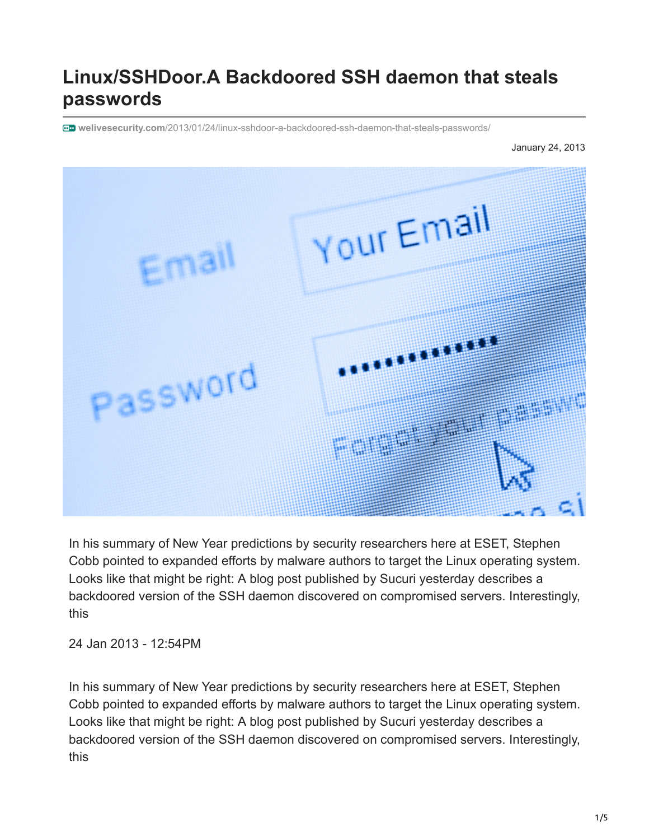## **Linux/SSHDoor.A Backdoored SSH daemon that steals passwords**

**welivesecurity.com**[/2013/01/24/linux-sshdoor-a-backdoored-ssh-daemon-that-steals-passwords/](https://www.welivesecurity.com/2013/01/24/linux-sshdoor-a-backdoored-ssh-daemon-that-steals-passwords/)



In his summary of New Year predictions by security researchers here at ESET, Stephen Cobb pointed to expanded efforts by malware authors to target the Linux operating system. Looks like that might be right: A blog post published by Sucuri yesterday describes a backdoored version of the SSH daemon discovered on compromised servers. Interestingly, this

24 Jan 2013 - 12:54PM

In his summary of New Year predictions by security researchers here at ESET, Stephen Cobb pointed to expanded efforts by malware authors to target the Linux operating system. Looks like that might be right: A blog post published by Sucuri yesterday describes a backdoored version of the SSH daemon discovered on compromised servers. Interestingly, this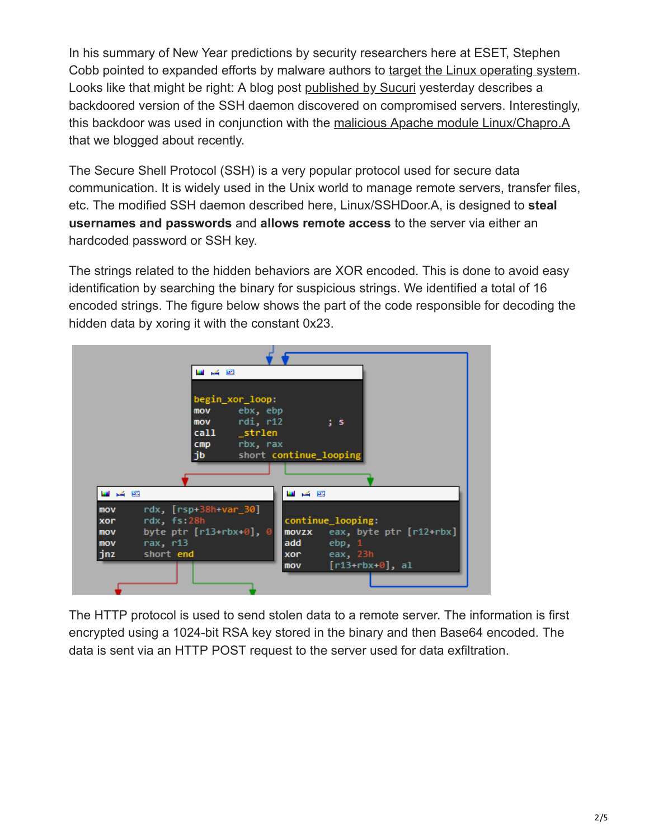In his summary of New Year predictions by security researchers here at ESET, Stephen Cobb pointed to expanded efforts by malware authors to [target the Linux operating system](https://www.welivesecurity.com/2013/01/03/2013-forecast-malware-scams-security-and-privacy-concerns). Looks like that might be right: A blog post [published by Sucuri](http://blog.sucuri.net/2013/01/server-side-iframe-injections-via-apache-modules-and-sshd-backdoor.html) yesterday describes a backdoored version of the SSH daemon discovered on compromised servers. Interestingly, this backdoor was used in conjunction with the [malicious Apache module Linux/Chapro.A](https://www.welivesecurity.com/2012/12/18/malicious-apache-module-used-for-content-injection-linuxchapro-a) that we blogged about recently.

The Secure Shell Protocol (SSH) is a very popular protocol used for secure data communication. It is widely used in the Unix world to manage remote servers, transfer files, etc. The modified SSH daemon described here, Linux/SSHDoor.A, is designed to **steal usernames and passwords** and **allows remote access** to the server via either an hardcoded password or SSH key.

The strings related to the hidden behaviors are XOR encoded. This is done to avoid easy identification by searching the binary for suspicious strings. We identified a total of 16 encoded strings. The figure below shows the part of the code responsible for decoding the hidden data by xoring it with the constant 0x23.

|         | و کر <b>ت</b>                                                                                                                                                                                                                             |
|---------|-------------------------------------------------------------------------------------------------------------------------------------------------------------------------------------------------------------------------------------------|
|         |                                                                                                                                                                                                                                           |
|         | begin_xor_loop:                                                                                                                                                                                                                           |
|         | ebx, ebp<br>mov                                                                                                                                                                                                                           |
|         | rdi, r12<br><b>mov</b><br>$\overline{\phantom{a}}$ ; s                                                                                                                                                                                    |
|         | call and the call the call the call of the call of the call of the call of the call of the call of the call of the call of the call of the call of the call of the call of the call of the call of the call of the call of the<br>_strlen |
|         | rbx, rax<br>cmp                                                                                                                                                                                                                           |
|         | jb<br>short continue_looping                                                                                                                                                                                                              |
|         |                                                                                                                                                                                                                                           |
|         |                                                                                                                                                                                                                                           |
| و کر ای | 四 香田                                                                                                                                                                                                                                      |
| mov     | $rdx$ , $[rsp+38h+var_30]$                                                                                                                                                                                                                |
| xor     | continue_looping:<br>rdx, fs:28h                                                                                                                                                                                                          |
| mov     | byte ptr $[r13+rbx+0]$ , 0<br>$movzx$ eax, byte ptr $[r12+rbx]$                                                                                                                                                                           |
| mov     | rax, r13<br>add<br>ebp, 1                                                                                                                                                                                                                 |
| jnz     | short end<br>xor eax, 23h                                                                                                                                                                                                                 |
|         | [r13+rbx+0], al<br>mov                                                                                                                                                                                                                    |
|         |                                                                                                                                                                                                                                           |
|         |                                                                                                                                                                                                                                           |

The HTTP protocol is used to send stolen data to a remote server. The information is first encrypted using a 1024-bit RSA key stored in the binary and then Base64 encoded. The data is sent via an HTTP POST request to the server used for data exfiltration.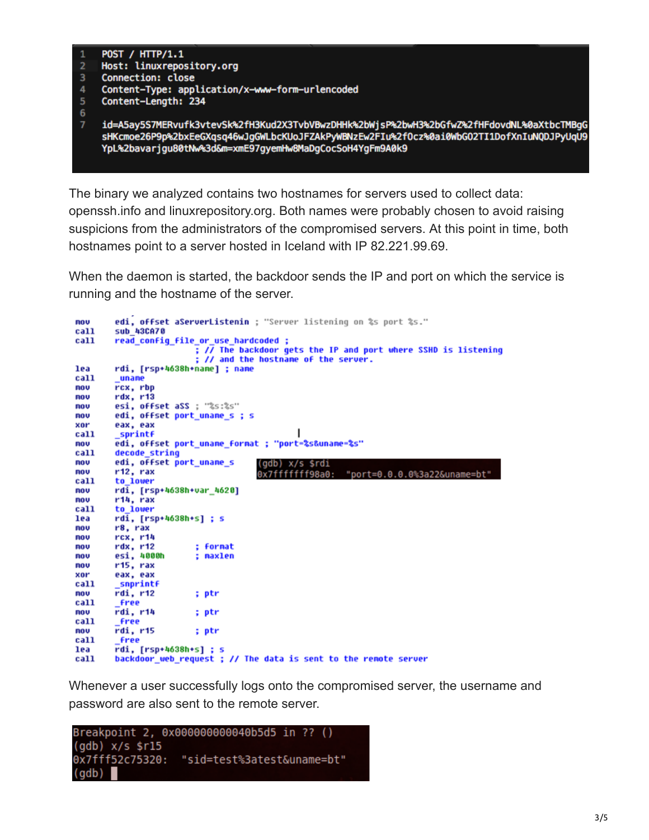

The binary we analyzed contains two hostnames for servers used to collect data: openssh.info and linuxrepository.org. Both names were probably chosen to avoid raising suspicions from the administrators of the compromised servers. At this point in time, both hostnames point to a server hosted in Iceland with IP 82.221.99.69.

When the daemon is started, the backdoor sends the IP and port on which the service is running and the hostname of the server.

```
edi, offset aServerListenin ; "Server listening on %s port %s."
nov
call
        sub 43CA70
call
        read config_file_or_use_hardcoded ;
                         ; // The backdoor gets the IP and port where SSHD is listening
                         ; // and the hostname of the server.
        rdi, [rsp+4638h+name] ; name
lea
call
        uname
        rcx, rbp
nov
        rdx, r13mou
        esi, offset aSS ; "%s:%s"
nov
mou
        edi, offset port_uname_s ; s
xor
        eax, eax
call
        sprintf
                                              ı
        edi, offset port_uname_format ; "port=%s&uname=%s"
mov
        decode string
ca11edi, offset port_uname_s
mov
                                      (gdb) x/s $rdi
nov
        r12, rax
                                      0x7fffffff98a0: "port=0.0.0.0%3a22&uname=bt"
        to_lower
call
        rdi, [rsp+4638h+var_4620]
MOV
nou
        r14, rax
        to lower
call
        rdi, [rsp+4638h+s] ; s
lea
nov
        r8, rax
        rcx, r14
mou
        rdx, r12; format
mou
        esi, 4000h
nov
                         : maxlen
nov
        r15, rax
        eax, eax
xor
call
        _snprintf
        rdi, r12; ptr
nov
        free
call
        rdi, r14
mov
                         ; ptr
call
        _free
        ridi, r15MOV
                         ; ptr
call
         free
        rdi, [rsp+4638h+s] ; s
lea
        backdoor_web_request ; // The data is sent to the remote server
call
```
Whenever a user successfully logs onto the compromised server, the username and password are also sent to the remote server.

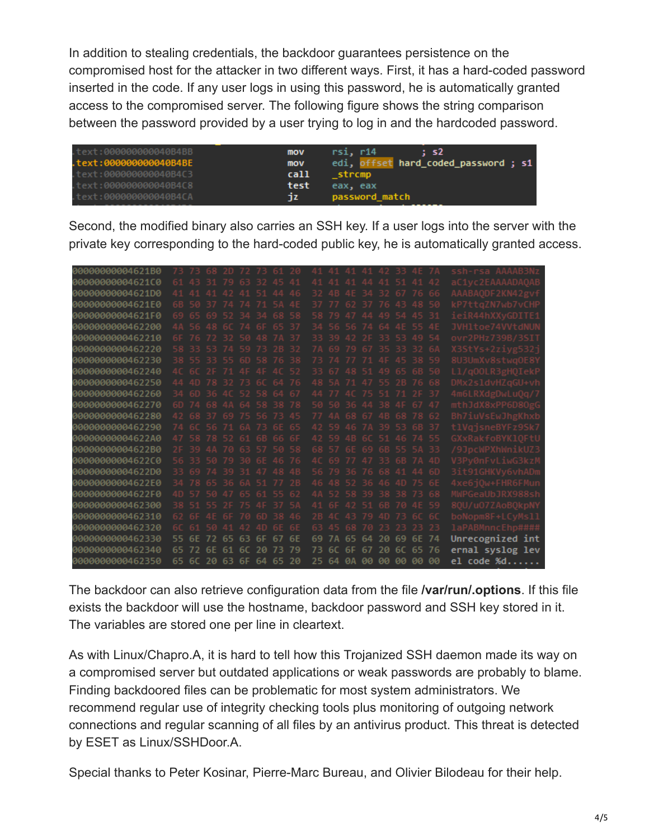In addition to stealing credentials, the backdoor guarantees persistence on the compromised host for the attacker in two different ways. First, it has a hard-coded password inserted in the code. If any user logs in using this password, he is automatically granted access to the compromised server. The following figure shows the string comparison between the password provided by a user trying to log in and the hardcoded password.

| text:000000000040B4BB. | mov  | rsi, r14<br>$\therefore$ s <sub>2</sub> |
|------------------------|------|-----------------------------------------|
| text:000000000040B4BE. | mov  | edi, offset hard_coded_password ; s1    |
| text:000000000040B4C3. | call | strcmp                                  |
| text:000000000040B4C8. | test | eax, eax                                |
| text:000000000040B4CA. | ٦z.  | password match                          |
|                        |      |                                         |

Second, the modified binary also carries an SSH key. If a user logs into the server with the private key corresponding to the hard-coded public key, he is automatically granted access.

| 00000000004621B0 |     |                |          |            | 68 2D 72 73 |                         |    |     |                 |                       |                         | 41 41 42       |                |                |           |      | ssh-rsa AAAAB3Nz |
|------------------|-----|----------------|----------|------------|-------------|-------------------------|----|-----|-----------------|-----------------------|-------------------------|----------------|----------------|----------------|-----------|------|------------------|
| 00000000004621C0 | 61. |                |          | -79        |             |                         |    |     |                 |                       |                         |                |                |                |           |      | aC1vc2EAAAADAOAB |
| 00000000004621D0 |     | 41 41          | 41       | $\Delta$   | $\Delta$ 1  |                         |    |     | 32              | $\Delta$ <sub>R</sub> | 4F 34                   |                | ヨウ             |                |           |      | AAABAODF2KN42gvf |
| 00000000004621E0 |     | 6B 50 37       |          | -74        | 74          | 71                      |    |     | 37              |                       | -62                     | -37            | 7 <sub>b</sub> | 43             |           |      | kP7ttaZN7wb7vCHP |
| 00000000004621F0 | 69  |                | 65 69 52 |            | -34         | -34                     |    |     | 58              | 79                    | 47                      | $\Delta\Delta$ | 49             |                |           | -31  | ieiR44hXXvGDITE1 |
| 0000000000462200 |     | 44 56 48 60 74 |          |            |             |                         |    |     | 34              |                       | 56 74                   |                | 64             | 4F             |           |      | JVHltoe74VVtdNUN |
| 0000000000462210 | 6F  |                | 72       | -32        | -50         | 48                      |    |     | 33              | 39                    | 42                      | - 2 F          | 33             | -53            |           |      | ovr2PHz739B/3SI1 |
| 0000000000462220 |     | 58 33 53 74 59 |          |            |             | -73                     |    | -32 | 7Δ              | 69.                   | 79.67                   |                |                | 35 33 32       |           | 6A   | X3StYs+2zivg532i |
| 0000000000462230 |     | 38 55 33 55    |          |            | 6D          |                         |    |     |                 |                       |                         |                |                |                |           |      | 8U3UmXv8stwa0E8Y |
| 0000000000462240 | AC  |                | 6C 2F    | -71        |             |                         |    |     | 33              |                       |                         |                | 49             |                |           |      | Ll/gOOLR3gHOIekP |
| 0000000000462250 |     | 44 4D          | 78 32    |            | -73         | 6C                      |    |     | 48              |                       | 71 A7                   |                | -55            | 2 <sub>B</sub> |           |      | DMx2sldvHZaGU+vh |
| 0000000000462260 |     |                |          |            |             | 34 6D 36 4C 52 58 64 67 |    |     | 44              |                       | $AC$ 75                 |                | -51            | 71             |           | -37  | 4m6LRXdgDwLu0a/7 |
| 0000000000462270 | 6D. |                | 68 4A    |            | 64          | 58 38                   |    |     | 50              | -50.                  | -36.44                  |                | 38.            |                |           | 47   | mthJdX8xPP6D80gG |
| 0000000000462280 | 42  | 68.            | -37      | -69        |             |                         |    |     | 77              |                       |                         | $-67$          | 4B             |                |           | -62  | Bh7iuVsEwJhgKhxb |
| 0000000000462290 | 74  | 60             |          | 71         |             | 73                      |    |     | 42              | 59                    | 46                      | <b>7Δ</b>      | -39            | -53            |           |      | tlVaisneBYFz9Sk7 |
| 00000000004622A0 | 47  | 58 78 52       |          |            | -61         | 6B                      |    |     |                 |                       | 42 59 4B 6C 51 46 74 55 |                |                |                |           |      | GXxRakfoBYK10FtU |
| 00000000004622B0 | 2F  | 39.            |          | 4A 70      |             |                         |    |     | 68              | -57                   | 6F 69                   |                | 6B             |                | 55 SA     |      | /9JpcWPXhWnikUZ3 |
| 00000000004622C0 | 56  | 33.            | -50.     | -79        |             |                         |    |     |                 |                       |                         |                | 33             |                |           | AD   | V3Pv0nFvLiwG3kzM |
| 00000000004622D0 |     | 33 69 74 39    |          |            | -31         | 47                      |    |     |                 |                       | 56 79 36 76             |                | -68            | 41             |           | .6D  | 3it91GHKVv6vhADm |
| 00000000004622E0 | 34  |                | 78 65 36 |            | FA          | -51                     |    |     | 46              |                       | 48 52 36 46 40          |                |                |                |           |      | 4xe6i0w+FHR6FMun |
| 00000000004622F0 | AD  |                | -50.     | -47        |             |                         |    |     | $\Delta \Delta$ | 52                    | 5839                    |                |                | 38 38          |           |      | MWPGeaUbJRX988sh |
| 0000000000462300 | 38. |                |          | つに         |             |                         |    |     | 41              |                       |                         |                | 6B.            |                |           |      | 80U/u07ZAoB0kpNY |
| 0000000000462310 | 62. |                | 4F       |            |             | .GD                     |    |     | 2B              |                       | 43                      | -79            | AD             | -73            |           |      | boNopm8F+LCvMs11 |
| 0000000000462320 |     | 6C 61 50       |          | $\Delta$ 1 |             |                         |    |     | 63              |                       |                         |                | クミ             | -23            | フミ        | 23   | 1aPABMnncEhp#### |
| 0000000000462330 | 55  |                |          |            | 53          |                         |    | 6F  | 69              |                       |                         | 64             | 2Q             |                |           | 74   | Unrecognized int |
| 0000000000462340 | 65  |                |          | 61         | 60          |                         |    | 79  | 73              |                       | 6F                      | 67             | 2Q             | 61             |           | 76   | ernal syslog lev |
| 0000000000462350 | 65. | 6C.            | 20       | -63        | 6F          | 64                      | 65 | 20  | 25              | 64                    | <b>ØA</b>               | <b>BB</b>      | <b>BB</b>      | <b>BB</b>      | <b>BB</b> | - 00 | el code %d       |

The backdoor can also retrieve configuration data from the file **/var/run/.options**. If this file exists the backdoor will use the hostname, backdoor password and SSH key stored in it. The variables are stored one per line in cleartext.

As with Linux/Chapro.A, it is hard to tell how this Trojanized SSH daemon made its way on a compromised server but outdated applications or weak passwords are probably to blame. Finding backdoored files can be problematic for most system administrators. We recommend regular use of integrity checking tools plus monitoring of outgoing network connections and regular scanning of all files by an antivirus product. This threat is detected by ESET as Linux/SSHDoor.A.

Special thanks to Peter Kosinar, Pierre-Marc Bureau, and Olivier Bilodeau for their help.